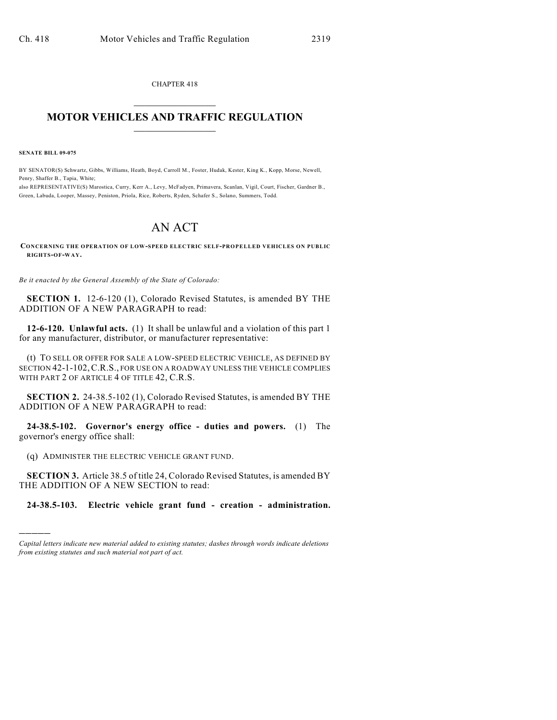CHAPTER 418

## $\overline{\phantom{a}}$  . The set of the set of the set of the set of the set of the set of the set of the set of the set of the set of the set of the set of the set of the set of the set of the set of the set of the set of the set o **MOTOR VEHICLES AND TRAFFIC REGULATION**  $\frac{1}{2}$  ,  $\frac{1}{2}$  ,  $\frac{1}{2}$  ,  $\frac{1}{2}$  ,  $\frac{1}{2}$  ,  $\frac{1}{2}$  ,  $\frac{1}{2}$  ,  $\frac{1}{2}$

**SENATE BILL 09-075**

)))))

BY SENATOR(S) Schwartz, Gibbs, Williams, Heath, Boyd, Carroll M., Foster, Hudak, Kester, King K., Kopp, Morse, Newell, Penry, Shaffer B., Tapia, White;

also REPRESENTATIVE(S) Marostica, Curry, Kerr A., Levy, McFadyen, Primavera, Scanlan, Vigil, Court, Fischer, Gardner B., Green, Labuda, Looper, Massey, Peniston, Priola, Rice, Roberts, Ryden, Schafer S., Solano, Summers, Todd.

## AN ACT

**CONCERNING THE OPERATION OF LOW-SPEED ELECTRIC SELF-PROPELLED VEHICLES ON PUBLIC RIGHTS-OF-WAY.**

*Be it enacted by the General Assembly of the State of Colorado:*

**SECTION 1.** 12-6-120 (1), Colorado Revised Statutes, is amended BY THE ADDITION OF A NEW PARAGRAPH to read:

**12-6-120. Unlawful acts.** (1) It shall be unlawful and a violation of this part 1 for any manufacturer, distributor, or manufacturer representative:

(t) TO SELL OR OFFER FOR SALE A LOW-SPEED ELECTRIC VEHICLE, AS DEFINED BY SECTION 42-1-102,C.R.S., FOR USE ON A ROADWAY UNLESS THE VEHICLE COMPLIES WITH PART 2 OF ARTICLE 4 OF TITLE 42, C.R.S.

**SECTION 2.** 24-38.5-102 (1), Colorado Revised Statutes, is amended BY THE ADDITION OF A NEW PARAGRAPH to read:

**24-38.5-102. Governor's energy office - duties and powers.** (1) The governor's energy office shall:

(q) ADMINISTER THE ELECTRIC VEHICLE GRANT FUND.

**SECTION 3.** Article 38.5 of title 24, Colorado Revised Statutes, is amended BY THE ADDITION OF A NEW SECTION to read:

**24-38.5-103. Electric vehicle grant fund - creation - administration.**

*Capital letters indicate new material added to existing statutes; dashes through words indicate deletions from existing statutes and such material not part of act.*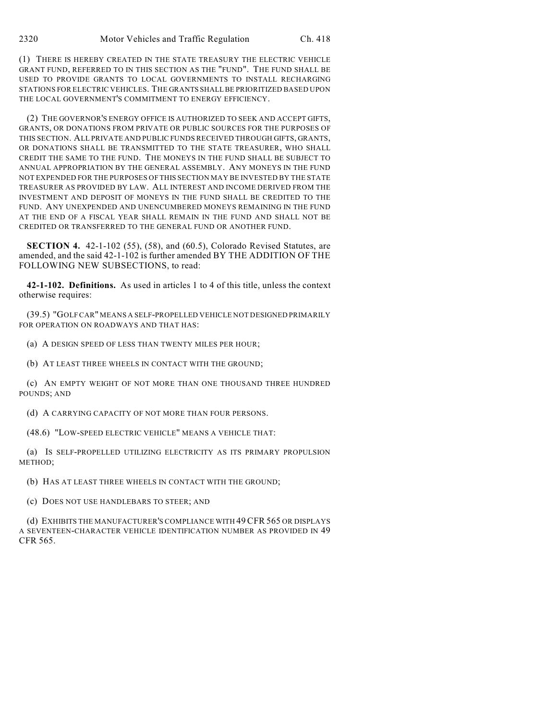(1) THERE IS HEREBY CREATED IN THE STATE TREASURY THE ELECTRIC VEHICLE GRANT FUND, REFERRED TO IN THIS SECTION AS THE "FUND". THE FUND SHALL BE USED TO PROVIDE GRANTS TO LOCAL GOVERNMENTS TO INSTALL RECHARGING STATIONS FOR ELECTRIC VEHICLES. THE GRANTS SHALL BE PRIORITIZED BASED UPON THE LOCAL GOVERNMENT'S COMMITMENT TO ENERGY EFFICIENCY.

(2) THE GOVERNOR'S ENERGY OFFICE IS AUTHORIZED TO SEEK AND ACCEPT GIFTS, GRANTS, OR DONATIONS FROM PRIVATE OR PUBLIC SOURCES FOR THE PURPOSES OF THIS SECTION. ALL PRIVATE AND PUBLIC FUNDS RECEIVED THROUGH GIFTS, GRANTS, OR DONATIONS SHALL BE TRANSMITTED TO THE STATE TREASURER, WHO SHALL CREDIT THE SAME TO THE FUND. THE MONEYS IN THE FUND SHALL BE SUBJECT TO ANNUAL APPROPRIATION BY THE GENERAL ASSEMBLY. ANY MONEYS IN THE FUND NOT EXPENDED FOR THE PURPOSES OFTHIS SECTION MAY BE INVESTED BY THE STATE TREASURER AS PROVIDED BY LAW. ALL INTEREST AND INCOME DERIVED FROM THE INVESTMENT AND DEPOSIT OF MONEYS IN THE FUND SHALL BE CREDITED TO THE FUND. ANY UNEXPENDED AND UNENCUMBERED MONEYS REMAINING IN THE FUND AT THE END OF A FISCAL YEAR SHALL REMAIN IN THE FUND AND SHALL NOT BE CREDITED OR TRANSFERRED TO THE GENERAL FUND OR ANOTHER FUND.

**SECTION 4.** 42-1-102 (55), (58), and (60.5), Colorado Revised Statutes, are amended, and the said 42-1-102 is further amended BY THE ADDITION OF THE FOLLOWING NEW SUBSECTIONS, to read:

**42-1-102. Definitions.** As used in articles 1 to 4 of this title, unless the context otherwise requires:

(39.5) "GOLF CAR" MEANS A SELF-PROPELLED VEHICLE NOT DESIGNED PRIMARILY FOR OPERATION ON ROADWAYS AND THAT HAS:

(a) A DESIGN SPEED OF LESS THAN TWENTY MILES PER HOUR;

(b) AT LEAST THREE WHEELS IN CONTACT WITH THE GROUND;

(c) AN EMPTY WEIGHT OF NOT MORE THAN ONE THOUSAND THREE HUNDRED POUNDS; AND

(d) A CARRYING CAPACITY OF NOT MORE THAN FOUR PERSONS.

(48.6) "LOW-SPEED ELECTRIC VEHICLE" MEANS A VEHICLE THAT:

(a) IS SELF-PROPELLED UTILIZING ELECTRICITY AS ITS PRIMARY PROPULSION METHOD;

(b) HAS AT LEAST THREE WHEELS IN CONTACT WITH THE GROUND;

(c) DOES NOT USE HANDLEBARS TO STEER; AND

(d) EXHIBITS THE MANUFACTURER'S COMPLIANCE WITH 49CFR 565 OR DISPLAYS A SEVENTEEN-CHARACTER VEHICLE IDENTIFICATION NUMBER AS PROVIDED IN 49 CFR 565.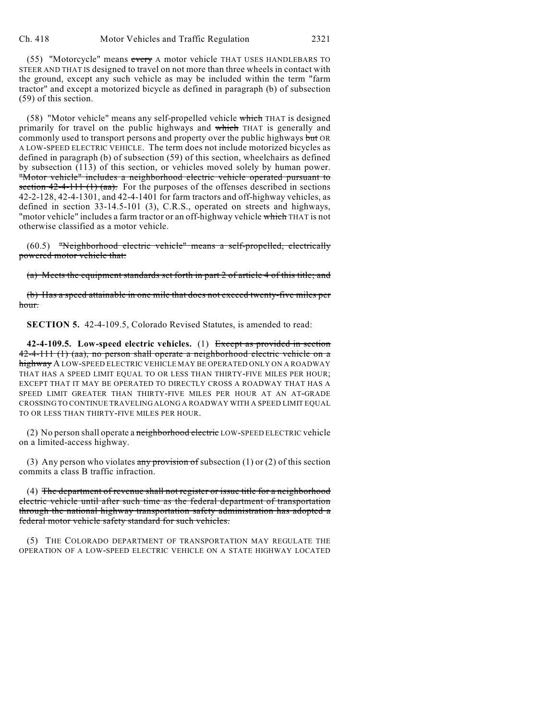(55) "Motorcycle" means every A motor vehicle THAT USES HANDLEBARS TO STEER AND THAT IS designed to travel on not more than three wheels in contact with the ground, except any such vehicle as may be included within the term "farm tractor" and except a motorized bicycle as defined in paragraph (b) of subsection (59) of this section.

(58) "Motor vehicle" means any self-propelled vehicle which THAT is designed primarily for travel on the public highways and which THAT is generally and commonly used to transport persons and property over the public highways but OR A LOW-SPEED ELECTRIC VEHICLE. The term does not include motorized bicycles as defined in paragraph (b) of subsection (59) of this section, wheelchairs as defined by subsection (113) of this section, or vehicles moved solely by human power. "Motor vehicle" includes a neighborhood electric vehicle operated pursuant to section  $42-4-111$  (1) (aa). For the purposes of the offenses described in sections 42-2-128, 42-4-1301, and 42-4-1401 for farm tractors and off-highway vehicles, as defined in section 33-14.5-101 (3), C.R.S., operated on streets and highways, "motor vehicle" includes a farm tractor or an off-highway vehicle which THAT is not otherwise classified as a motor vehicle.

(60.5) "Neighborhood electric vehicle" means a self-propelled, electrically powered motor vehicle that:

(a) Meets the equipment standards set forth in part 2 of article 4 of this title; and

(b) Has a speed attainable in one mile that does not exceed twenty-five miles per hour<sup>.</sup>

**SECTION 5.** 42-4-109.5, Colorado Revised Statutes, is amended to read:

**42-4-109.5. Low-speed electric vehicles.** (1) Except as provided in section 42-4-111 (1) (aa), no person shall operate a neighborhood electric vehicle on a highway A LOW-SPEED ELECTRIC VEHICLE MAY BE OPERATED ONLY ON A ROADWAY THAT HAS A SPEED LIMIT EQUAL TO OR LESS THAN THIRTY-FIVE MILES PER HOUR; EXCEPT THAT IT MAY BE OPERATED TO DIRECTLY CROSS A ROADWAY THAT HAS A SPEED LIMIT GREATER THAN THIRTY-FIVE MILES PER HOUR AT AN AT-GRADE CROSSING TO CONTINUE TRAVELING ALONG A ROADWAY WITH A SPEED LIMIT EQUAL TO OR LESS THAN THIRTY-FIVE MILES PER HOUR.

(2) No person shall operate a neighborhood electric LOW-SPEED ELECTRIC vehicle on a limited-access highway.

(3) Any person who violates any provision of subsection (1) or (2) of this section commits a class B traffic infraction.

(4) The department of revenue shall not register or issue title for a neighborhood electric vehicle until after such time as the federal department of transportation through the national highway transportation safety administration has adopted a federal motor vehicle safety standard for such vehicles.

(5) THE COLORADO DEPARTMENT OF TRANSPORTATION MAY REGULATE THE OPERATION OF A LOW-SPEED ELECTRIC VEHICLE ON A STATE HIGHWAY LOCATED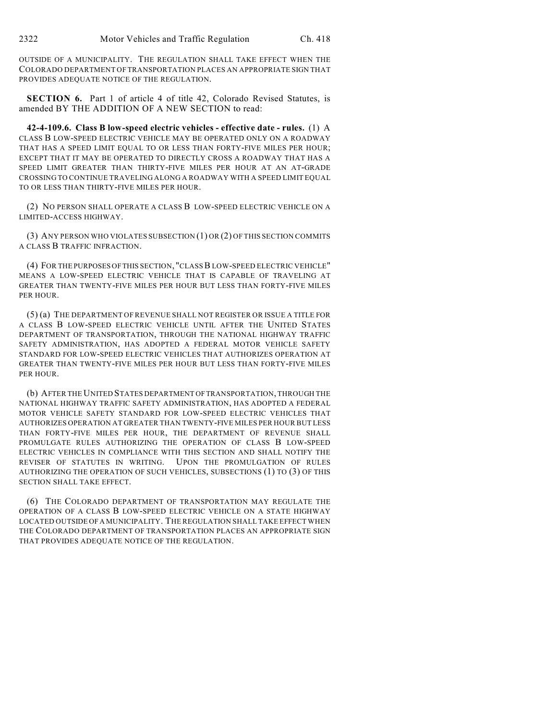OUTSIDE OF A MUNICIPALITY. THE REGULATION SHALL TAKE EFFECT WHEN THE COLORADO DEPARTMENT OF TRANSPORTATION PLACES AN APPROPRIATE SIGN THAT PROVIDES ADEQUATE NOTICE OF THE REGULATION.

**SECTION 6.** Part 1 of article 4 of title 42, Colorado Revised Statutes, is amended BY THE ADDITION OF A NEW SECTION to read:

**42-4-109.6. Class B low-speed electric vehicles - effective date - rules.** (1) A CLASS B LOW-SPEED ELECTRIC VEHICLE MAY BE OPERATED ONLY ON A ROADWAY THAT HAS A SPEED LIMIT EQUAL TO OR LESS THAN FORTY-FIVE MILES PER HOUR; EXCEPT THAT IT MAY BE OPERATED TO DIRECTLY CROSS A ROADWAY THAT HAS A SPEED LIMIT GREATER THAN THIRTY-FIVE MILES PER HOUR AT AN AT-GRADE CROSSING TO CONTINUE TRAVELING ALONG A ROADWAY WITH A SPEED LIMIT EQUAL TO OR LESS THAN THIRTY-FIVE MILES PER HOUR.

(2) NO PERSON SHALL OPERATE A CLASS B LOW-SPEED ELECTRIC VEHICLE ON A LIMITED-ACCESS HIGHWAY.

(3) ANY PERSON WHO VIOLATES SUBSECTION (1) OR (2) OF THIS SECTION COMMITS A CLASS B TRAFFIC INFRACTION.

(4) FOR THE PURPOSES OF THIS SECTION, "CLASS B LOW-SPEED ELECTRIC VEHICLE" MEANS A LOW-SPEED ELECTRIC VEHICLE THAT IS CAPABLE OF TRAVELING AT GREATER THAN TWENTY-FIVE MILES PER HOUR BUT LESS THAN FORTY-FIVE MILES PER HOUR.

(5) (a) THE DEPARTMENT OF REVENUE SHALL NOT REGISTER OR ISSUE A TITLE FOR A CLASS B LOW-SPEED ELECTRIC VEHICLE UNTIL AFTER THE UNITED STATES DEPARTMENT OF TRANSPORTATION, THROUGH THE NATIONAL HIGHWAY TRAFFIC SAFETY ADMINISTRATION, HAS ADOPTED A FEDERAL MOTOR VEHICLE SAFETY STANDARD FOR LOW-SPEED ELECTRIC VEHICLES THAT AUTHORIZES OPERATION AT GREATER THAN TWENTY-FIVE MILES PER HOUR BUT LESS THAN FORTY-FIVE MILES PER HOUR.

(b) AFTER THE UNITED STATES DEPARTMENT OF TRANSPORTATION, THROUGH THE NATIONAL HIGHWAY TRAFFIC SAFETY ADMINISTRATION, HAS ADOPTED A FEDERAL MOTOR VEHICLE SAFETY STANDARD FOR LOW-SPEED ELECTRIC VEHICLES THAT AUTHORIZES OPERATION AT GREATER THAN TWENTY-FIVE MILES PER HOUR BUT LESS THAN FORTY-FIVE MILES PER HOUR, THE DEPARTMENT OF REVENUE SHALL PROMULGATE RULES AUTHORIZING THE OPERATION OF CLASS B LOW-SPEED ELECTRIC VEHICLES IN COMPLIANCE WITH THIS SECTION AND SHALL NOTIFY THE REVISER OF STATUTES IN WRITING. UPON THE PROMULGATION OF RULES AUTHORIZING THE OPERATION OF SUCH VEHICLES, SUBSECTIONS (1) TO (3) OF THIS SECTION SHALL TAKE EFFECT.

(6) THE COLORADO DEPARTMENT OF TRANSPORTATION MAY REGULATE THE OPERATION OF A CLASS B LOW-SPEED ELECTRIC VEHICLE ON A STATE HIGHWAY LOCATED OUTSIDE OF A MUNICIPALITY. THE REGULATION SHALL TAKE EFFECT WHEN THE COLORADO DEPARTMENT OF TRANSPORTATION PLACES AN APPROPRIATE SIGN THAT PROVIDES ADEQUATE NOTICE OF THE REGULATION.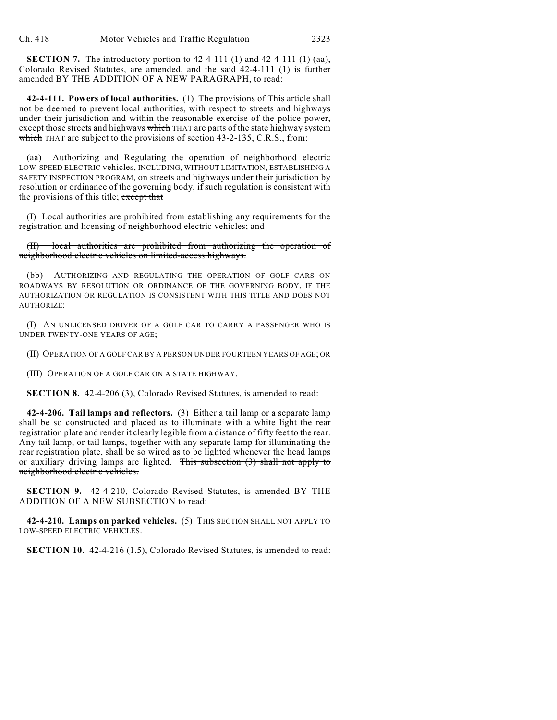**SECTION 7.** The introductory portion to 42-4-111 (1) and 42-4-111 (1) (aa), Colorado Revised Statutes, are amended, and the said 42-4-111 (1) is further amended BY THE ADDITION OF A NEW PARAGRAPH, to read:

**42-4-111. Powers of local authorities.** (1) The provisions of This article shall not be deemed to prevent local authorities, with respect to streets and highways under their jurisdiction and within the reasonable exercise of the police power, except those streets and highways which THAT are parts of the state highway system which THAT are subject to the provisions of section 43-2-135, C.R.S., from:

(aa) Authorizing and Regulating the operation of neighborhood electric LOW-SPEED ELECTRIC vehicles, INCLUDING, WITHOUT LIMITATION, ESTABLISHING A SAFETY INSPECTION PROGRAM, on streets and highways under their jurisdiction by resolution or ordinance of the governing body, if such regulation is consistent with the provisions of this title; except that

(I) Local authorities are prohibited from establishing any requirements for the registration and licensing of neighborhood electric vehicles; and

local authorities are prohibited from authorizing the operation of neighborhood electric vehicles on limited-access highways.

(bb) AUTHORIZING AND REGULATING THE OPERATION OF GOLF CARS ON ROADWAYS BY RESOLUTION OR ORDINANCE OF THE GOVERNING BODY, IF THE AUTHORIZATION OR REGULATION IS CONSISTENT WITH THIS TITLE AND DOES NOT AUTHORIZE:

(I) AN UNLICENSED DRIVER OF A GOLF CAR TO CARRY A PASSENGER WHO IS UNDER TWENTY-ONE YEARS OF AGE;

(II) OPERATION OF A GOLF CAR BY A PERSON UNDER FOURTEEN YEARS OF AGE; OR

(III) OPERATION OF A GOLF CAR ON A STATE HIGHWAY.

**SECTION 8.** 42-4-206 (3), Colorado Revised Statutes, is amended to read:

**42-4-206. Tail lamps and reflectors.** (3) Either a tail lamp or a separate lamp shall be so constructed and placed as to illuminate with a white light the rear registration plate and render it clearly legible from a distance of fifty feet to the rear. Any tail lamp, or tail lamps, together with any separate lamp for illuminating the rear registration plate, shall be so wired as to be lighted whenever the head lamps or auxiliary driving lamps are lighted. This subsection (3) shall not apply to neighborhood electric vehicles.

**SECTION 9.** 42-4-210, Colorado Revised Statutes, is amended BY THE ADDITION OF A NEW SUBSECTION to read:

**42-4-210. Lamps on parked vehicles.** (5) THIS SECTION SHALL NOT APPLY TO LOW-SPEED ELECTRIC VEHICLES.

**SECTION 10.** 42-4-216 (1.5), Colorado Revised Statutes, is amended to read: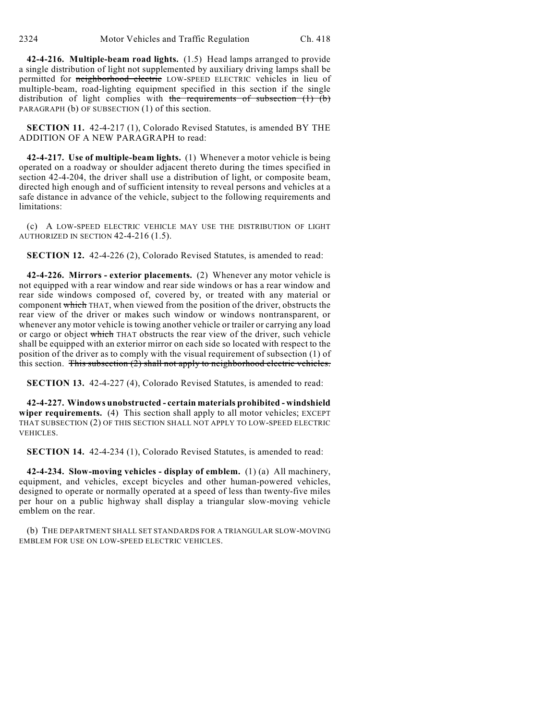**42-4-216. Multiple-beam road lights.** (1.5) Head lamps arranged to provide a single distribution of light not supplemented by auxiliary driving lamps shall be permitted for neighborhood electric LOW-SPEED ELECTRIC vehicles in lieu of multiple-beam, road-lighting equipment specified in this section if the single distribution of light complies with the requirements of subsection  $(1)$   $(b)$ PARAGRAPH (b) OF SUBSECTION (1) of this section.

**SECTION 11.** 42-4-217 (1), Colorado Revised Statutes, is amended BY THE ADDITION OF A NEW PARAGRAPH to read:

**42-4-217. Use of multiple-beam lights.** (1) Whenever a motor vehicle is being operated on a roadway or shoulder adjacent thereto during the times specified in section 42-4-204, the driver shall use a distribution of light, or composite beam, directed high enough and of sufficient intensity to reveal persons and vehicles at a safe distance in advance of the vehicle, subject to the following requirements and limitations:

(c) A LOW-SPEED ELECTRIC VEHICLE MAY USE THE DISTRIBUTION OF LIGHT AUTHORIZED IN SECTION 42-4-216 (1.5).

**SECTION 12.** 42-4-226 (2), Colorado Revised Statutes, is amended to read:

**42-4-226. Mirrors - exterior placements.** (2) Whenever any motor vehicle is not equipped with a rear window and rear side windows or has a rear window and rear side windows composed of, covered by, or treated with any material or component which THAT, when viewed from the position of the driver, obstructs the rear view of the driver or makes such window or windows nontransparent, or whenever any motor vehicle is towing another vehicle or trailer or carrying any load or cargo or object which THAT obstructs the rear view of the driver, such vehicle shall be equipped with an exterior mirror on each side so located with respect to the position of the driver as to comply with the visual requirement of subsection (1) of this section. This subsection  $(2)$  shall not apply to neighborhood electric vehicles.

**SECTION 13.** 42-4-227 (4), Colorado Revised Statutes, is amended to read:

**42-4-227. Windows unobstructed - certain materials prohibited - windshield wiper requirements.** (4) This section shall apply to all motor vehicles; EXCEPT THAT SUBSECTION (2) OF THIS SECTION SHALL NOT APPLY TO LOW-SPEED ELECTRIC VEHICLES.

**SECTION 14.** 42-4-234 (1), Colorado Revised Statutes, is amended to read:

**42-4-234. Slow-moving vehicles - display of emblem.** (1) (a) All machinery, equipment, and vehicles, except bicycles and other human-powered vehicles, designed to operate or normally operated at a speed of less than twenty-five miles per hour on a public highway shall display a triangular slow-moving vehicle emblem on the rear.

(b) THE DEPARTMENT SHALL SET STANDARDS FOR A TRIANGULAR SLOW-MOVING EMBLEM FOR USE ON LOW-SPEED ELECTRIC VEHICLES.